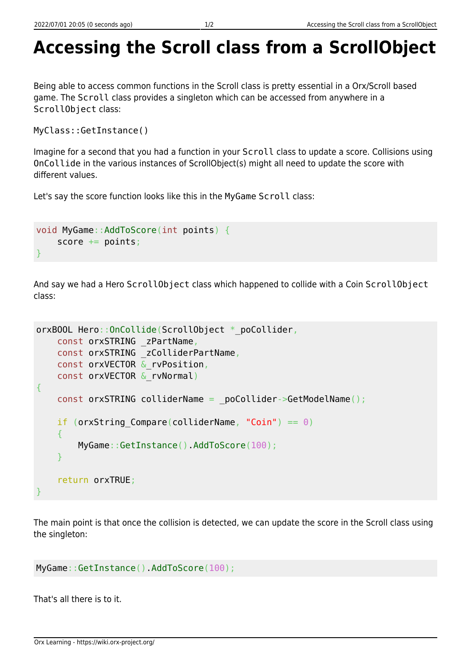## **Accessing the Scroll class from a ScrollObject**

Being able to access common functions in the Scroll class is pretty essential in a Orx/Scroll based game. The Scroll class provides a singleton which can be accessed from anywhere in a ScrollObject class:

```
MyClass::GetInstance()
```
Imagine for a second that you had a function in your Scroll class to update a score. Collisions using OnCollide in the various instances of ScrollObject(s) might all need to update the score with different values.

Let's say the score function looks like this in the MyGame Scroll class:

```
void MyGame::AddToScore(int points) {
    score += points;
}
```
And say we had a Hero ScrollObject class which happened to collide with a Coin ScrollObject class:

```
orxBOOL Hero:: OnCollide(ScrollObject * poCollider,
     const orxSTRING _zPartName,
     const orxSTRING _zColliderPartName,
    const orxVECTOR & rvPosition,
     const orxVECTOR &_rvNormal)
{
   const orxSTRING colliderName = poCollider->GetModelName();
    if (orxString Compare(colliderName, "Coin") == \theta)
     {
         MyGame::GetInstance().AddToScore(100);
     }
     return orxTRUE;
}
```
The main point is that once the collision is detected, we can update the score in the Scroll class using the singleton:

```
MyGame::GetInstance().AddToScore(100);
```
That's all there is to it.